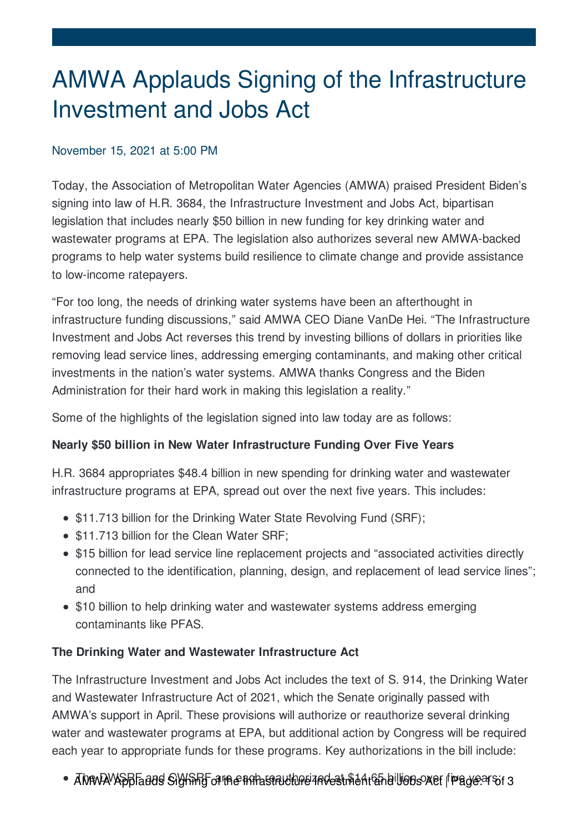# AMWA Applauds Signing of the Infrastructure Investment and Jobs Act

### November 15, 2021 at 5:00 PM

Today, the Association of Metropolitan Water Agencies (AMWA) praised President Biden's signing into law of H.R. 3684, the Infrastructure Investment and Jobs Act, bipartisan legislation that includes nearly \$50 billion in new funding for key drinking water and wastewater programs at EPA. The legislation also authorizes several new AMWA-backed programs to help water systems build resilience to climate change and provide assistance to low-income ratepayers.

"For too long, the needs of drinking water systems have been an afterthought in infrastructure funding discussions," said AMWA CEO Diane VanDe Hei. "The Infrastructure Investment and Jobs Act reverses this trend by investing billions of dollars in priorities like removing lead service lines, addressing emerging contaminants, and making other critical investments in the nation's water systems. AMWA thanks Congress and the Biden Administration for their hard work in making this legislation a reality."

Some of the highlights of the legislation signed into law today are as follows:

#### **Nearly \$50 billion in New Water Infrastructure Funding Over Five Years**

H.R. 3684 appropriates \$48.4 billion in new spending for drinking water and wastewater infrastructure programs at EPA, spread out over the next five years. This includes:

- \$11.713 billion for the Drinking Water State Revolving Fund (SRF);
- \$11.713 billion for the Clean Water SRF;
- \$15 billion for lead service line replacement projects and "associated activities directly connected to the identification, planning, design, and replacement of lead service lines"; and
- \$10 billion to help drinking water and wastewater systems address emerging contaminants like PFAS.

#### **The Drinking Water and Wastewater Infrastructure Act**

The Infrastructure Investment and Jobs Act includes the text of S. 914, the Drinking Water and Wastewater Infrastructure Act of 2021, which the Senate originally passed with AMWA's support in April. These provisions will authorize or reauthorize several drinking water and wastewater programs at EPA, but additional action by Congress will be required each year to appropriate funds for these programs. Key authorizations in the bill include:

ANNAWASPFaeds SighThFo1the infastructure investment and Illions act lime gears; 3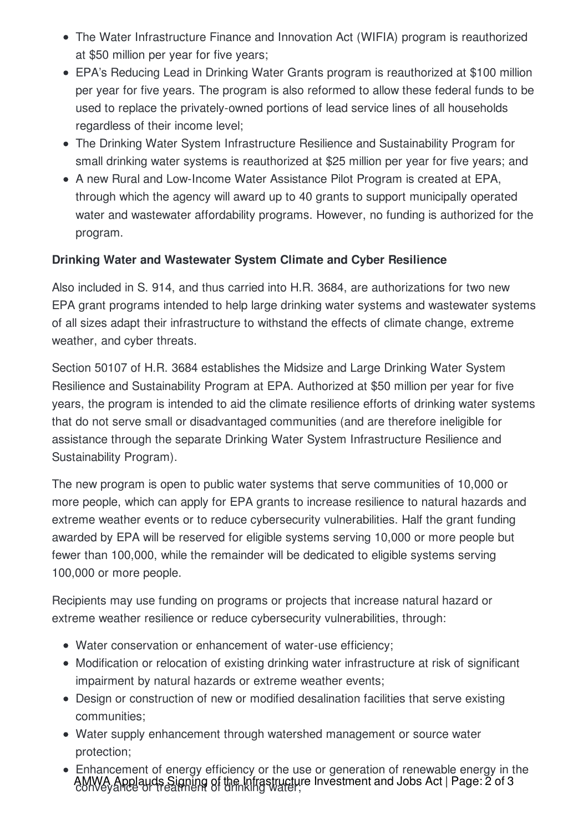- The Water Infrastructure Finance and Innovation Act (WIFIA) program is reauthorized at \$50 million per year for five years;
- EPA's Reducing Lead in Drinking Water Grants program is reauthorized at \$100 million per year for five years. The program is also reformed to allow these federal funds to be used to replace the privately-owned portions of lead service lines of all households regardless of their income level;
- The Drinking Water System Infrastructure Resilience and Sustainability Program for small drinking water systems is reauthorized at \$25 million per year for five years; and
- A new Rural and Low-Income Water Assistance Pilot Program is created at EPA, through which the agency will award up to 40 grants to support municipally operated water and wastewater affordability programs. However, no funding is authorized for the program.

## **Drinking Water and Wastewater System Climate and Cyber Resilience**

Also included in S. 914, and thus carried into H.R. 3684, are authorizations for two new EPA grant programs intended to help large drinking water systems and wastewater systems of all sizes adapt their infrastructure to withstand the effects of climate change, extreme weather, and cyber threats.

Section 50107 of H.R. 3684 establishes the Midsize and Large Drinking Water System Resilience and Sustainability Program at EPA. Authorized at \$50 million per year for five years, the program is intended to aid the climate resilience efforts of drinking water systems that do not serve small or disadvantaged communities (and are therefore ineligible for assistance through the separate Drinking Water System Infrastructure Resilience and Sustainability Program).

The new program is open to public water systems that serve communities of 10,000 or more people, which can apply for EPA grants to increase resilience to natural hazards and extreme weather events or to reduce cybersecurity vulnerabilities. Half the grant funding awarded by EPA will be reserved for eligible systems serving 10,000 or more people but fewer than 100,000, while the remainder will be dedicated to eligible systems serving 100,000 or more people.

Recipients may use funding on programs or projects that increase natural hazard or extreme weather resilience or reduce cybersecurity vulnerabilities, through:

- Water conservation or enhancement of water-use efficiency;
- Modification or relocation of existing drinking water infrastructure at risk of significant impairment by natural hazards or extreme weather events;
- Design or construction of new or modified desalination facilities that serve existing communities;
- Water supply enhancement through watershed management or source water protection;
- Enhancement of energy efficiency or the use or generation of renewable energy in the AMWA Applauds Signing of the Infrastructure Investment and Jobs Act | Page: 2 of 3<br>ConVeyance of treatment of ulmking water;